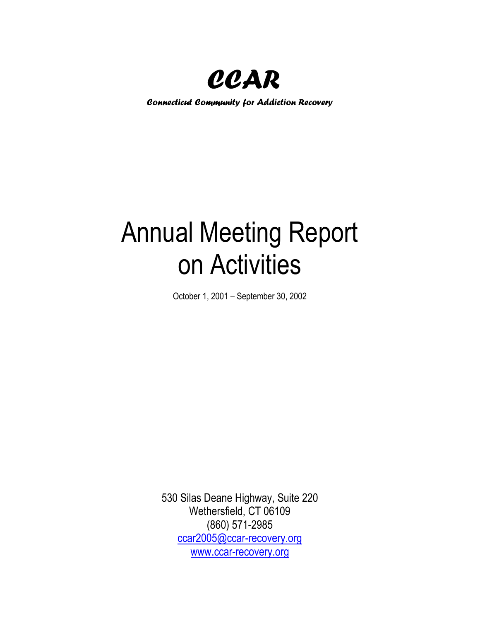

*Connecticut Community for Addiction Recovery*

# Annual Meeting Report on Activities

October 1, 2001 – September 30, 2002

530 Silas Deane Highway, Suite 220 Wethersfield, CT 06109 (860) 571-2985 [ccar2005@ccar-recovery.org](mailto:ccar2005@ccar-recovery.org) [www.ccar-recovery.org](http://www.ccar-recovery.org/)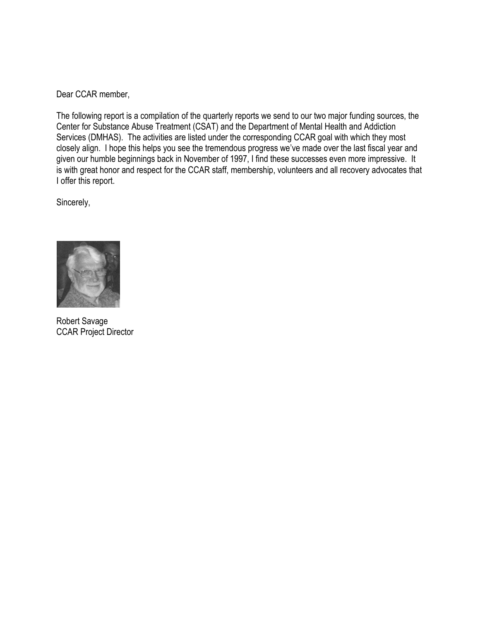Dear CCAR member,

The following report is a compilation of the quarterly reports we send to our two major funding sources, the Center for Substance Abuse Treatment (CSAT) and the Department of Mental Health and Addiction Services (DMHAS). The activities are listed under the corresponding CCAR goal with which they most closely align. I hope this helps you see the tremendous progress we've made over the last fiscal year and given our humble beginnings back in November of 1997, I find these successes even more impressive. It is with great honor and respect for the CCAR staff, membership, volunteers and all recovery advocates that I offer this report.

Sincerely,



Robert Savage CCAR Project Director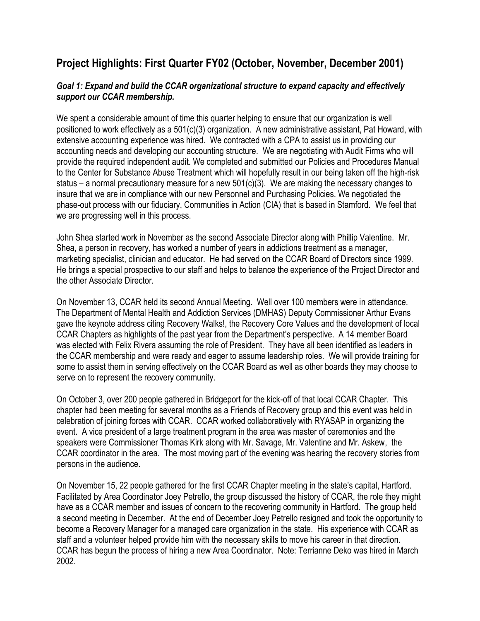# **Project Highlights: First Quarter FY02 (October, November, December 2001)**

#### *Goal 1: Expand and build the CCAR organizational structure to expand capacity and effectively support our CCAR membership.*

We spent a considerable amount of time this quarter helping to ensure that our organization is well positioned to work effectively as a 501(c)(3) organization. A new administrative assistant, Pat Howard, with extensive accounting experience was hired. We contracted with a CPA to assist us in providing our accounting needs and developing our accounting structure. We are negotiating with Audit Firms who will provide the required independent audit. We completed and submitted our Policies and Procedures Manual to the Center for Substance Abuse Treatment which will hopefully result in our being taken off the high-risk status – a normal precautionary measure for a new  $501(c)(3)$ . We are making the necessary changes to insure that we are in compliance with our new Personnel and Purchasing Policies. We negotiated the phase-out process with our fiduciary, Communities in Action (CIA) that is based in Stamford. We feel that we are progressing well in this process.

John Shea started work in November as the second Associate Director along with Phillip Valentine. Mr. Shea, a person in recovery, has worked a number of years in addictions treatment as a manager, marketing specialist, clinician and educator. He had served on the CCAR Board of Directors since 1999. He brings a special prospective to our staff and helps to balance the experience of the Project Director and the other Associate Director.

On November 13, CCAR held its second Annual Meeting. Well over 100 members were in attendance. The Department of Mental Health and Addiction Services (DMHAS) Deputy Commissioner Arthur Evans gave the keynote address citing Recovery Walks!, the Recovery Core Values and the development of local CCAR Chapters as highlights of the past year from the Department's perspective. A 14 member Board was elected with Felix Rivera assuming the role of President. They have all been identified as leaders in the CCAR membership and were ready and eager to assume leadership roles. We will provide training for some to assist them in serving effectively on the CCAR Board as well as other boards they may choose to serve on to represent the recovery community.

On October 3, over 200 people gathered in Bridgeport for the kick-off of that local CCAR Chapter. This chapter had been meeting for several months as a Friends of Recovery group and this event was held in celebration of joining forces with CCAR. CCAR worked collaboratively with RYASAP in organizing the event. A vice president of a large treatment program in the area was master of ceremonies and the speakers were Commissioner Thomas Kirk along with Mr. Savage, Mr. Valentine and Mr. Askew, the CCAR coordinator in the area. The most moving part of the evening was hearing the recovery stories from persons in the audience.

On November 15, 22 people gathered for the first CCAR Chapter meeting in the state's capital, Hartford. Facilitated by Area Coordinator Joey Petrello, the group discussed the history of CCAR, the role they might have as a CCAR member and issues of concern to the recovering community in Hartford. The group held a second meeting in December. At the end of December Joey Petrello resigned and took the opportunity to become a Recovery Manager for a managed care organization in the state. His experience with CCAR as staff and a volunteer helped provide him with the necessary skills to move his career in that direction. CCAR has begun the process of hiring a new Area Coordinator. Note: Terrianne Deko was hired in March 2002.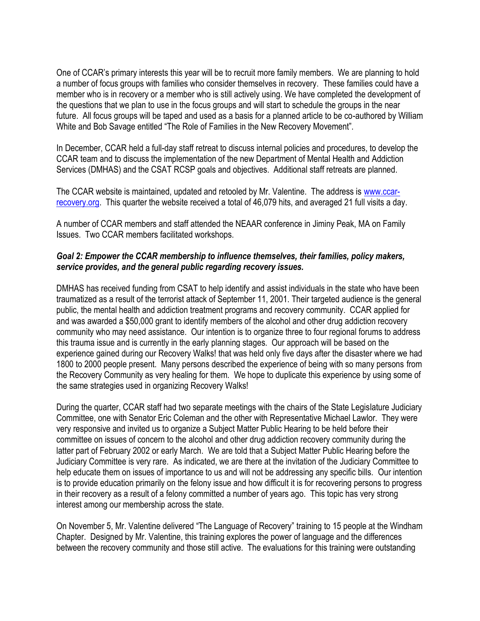One of CCAR's primary interests this year will be to recruit more family members. We are planning to hold a number of focus groups with families who consider themselves in recovery. These families could have a member who is in recovery or a member who is still actively using. We have completed the development of the questions that we plan to use in the focus groups and will start to schedule the groups in the near future. All focus groups will be taped and used as a basis for a planned article to be co-authored by William White and Bob Savage entitled "The Role of Families in the New Recovery Movement".

In December, CCAR held a full-day staff retreat to discuss internal policies and procedures, to develop the CCAR team and to discuss the implementation of the new Department of Mental Health and Addiction Services (DMHAS) and the CSAT RCSP goals and objectives. Additional staff retreats are planned.

The CCAR website is maintained, updated and retooled by Mr. Valentine. The address is [www.ccar](http://www.ccar-recovery.org/)[recovery.org.](http://www.ccar-recovery.org/) This quarter the website received a total of 46,079 hits, and averaged 21 full visits a day.

A number of CCAR members and staff attended the NEAAR conference in Jiminy Peak, MA on Family Issues. Two CCAR members facilitated workshops.

#### *Goal 2: Empower the CCAR membership to influence themselves, their families, policy makers, service provides, and the general public regarding recovery issues.*

DMHAS has received funding from CSAT to help identify and assist individuals in the state who have been traumatized as a result of the terrorist attack of September 11, 2001. Their targeted audience is the general public, the mental health and addiction treatment programs and recovery community. CCAR applied for and was awarded a \$50,000 grant to identify members of the alcohol and other drug addiction recovery community who may need assistance. Our intention is to organize three to four regional forums to address this trauma issue and is currently in the early planning stages. Our approach will be based on the experience gained during our Recovery Walks! that was held only five days after the disaster where we had 1800 to 2000 people present. Many persons described the experience of being with so many persons from the Recovery Community as very healing for them. We hope to duplicate this experience by using some of the same strategies used in organizing Recovery Walks!

During the quarter, CCAR staff had two separate meetings with the chairs of the State Legislature Judiciary Committee, one with Senator Eric Coleman and the other with Representative Michael Lawlor. They were very responsive and invited us to organize a Subject Matter Public Hearing to be held before their committee on issues of concern to the alcohol and other drug addiction recovery community during the latter part of February 2002 or early March. We are told that a Subject Matter Public Hearing before the Judiciary Committee is very rare. As indicated, we are there at the invitation of the Judiciary Committee to help educate them on issues of importance to us and will not be addressing any specific bills. Our intention is to provide education primarily on the felony issue and how difficult it is for recovering persons to progress in their recovery as a result of a felony committed a number of years ago. This topic has very strong interest among our membership across the state.

On November 5, Mr. Valentine delivered "The Language of Recovery" training to 15 people at the Windham Chapter. Designed by Mr. Valentine, this training explores the power of language and the differences between the recovery community and those still active. The evaluations for this training were outstanding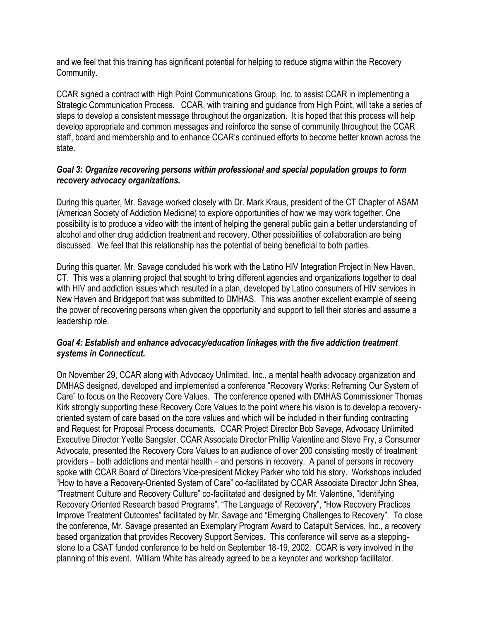and we feel that this training has significant potential for helping to reduce stigma within the Recovery Community.

CCAR signed a contract with High Point Communications Group, Inc. to assist CCAR in implementing a Strategic Communication Process. CCAR, with training and guidance from High Point, will take a series of steps to develop a consistent message throughout the organization. It is hoped that this process will help develop appropriate and common messages and reinforce the sense of community throughout the CCAR staff, board and membership and to enhance CCAR's continued efforts to become better known across the state.

#### *Goal 3: Organize recovering persons within professional and special population groups to form recovery advocacy organizations.*

During this quarter, Mr. Savage worked closely with Dr. Mark Kraus, president of the CT Chapter of ASAM (American Society of Addiction Medicine) to explore opportunities of how we may work together. One possibility is to produce a video with the intent of helping the general public gain a better understanding of alcohol and other drug addiction treatment and recovery. Other possibilities of collaboration are being discussed. We feel that this relationship has the potential of being beneficial to both parties.

During this quarter, Mr. Savage concluded his work with the Latino HIV Integration Project in New Haven, CT. This was a planning project that sought to bring different agencies and organizations together to deal with HIV and addiction issues which resulted in a plan, developed by Latino consumers of HIV services in New Haven and Bridgeport that was submitted to DMHAS. This was another excellent example of seeing the power of recovering persons when given the opportunity and support to tell their stories and assume a leadership role.

#### *Goal 4: Establish and enhance advocacy/education linkages with the five addiction treatment systems in Connecticut.*

On November 29, CCAR along with Advocacy Unlimited, Inc., a mental health advocacy organization and DMHAS designed, developed and implemented a conference "Recovery Works: Reframing Our System of Care" to focus on the Recovery Core Values. The conference opened with DMHAS Commissioner Thomas Kirk strongly supporting these Recovery Core Values to the point where his vision is to develop a recoveryoriented system of care based on the core values and which will be included in their funding contracting and Request for Proposal Process documents. CCAR Project Director Bob Savage, Advocacy Unlimited Executive Director Yvette Sangster, CCAR Associate Director Phillip Valentine and Steve Fry, a Consumer Advocate, presented the Recovery Core Values to an audience of over 200 consisting mostly of treatment providers – both addictions and mental health – and persons in recovery. A panel of persons in recovery spoke with CCAR Board of Directors Vice-president Mickey Parker who told his story. Workshops included "How to have a Recovery-Oriented System of Care" co-facilitated by CCAR Associate Director John Shea, "Treatment Culture and Recovery Culture" co-facilitated and designed by Mr. Valentine, "Identifying Recovery Oriented Research based Programs", "The Language of Recovery", "How Recovery Practices Improve Treatment Outcomes" facilitated by Mr. Savage and "Emerging Challenges to Recovery". To close the conference, Mr. Savage presented an Exemplary Program Award to Catapult Services, Inc., a recovery based organization that provides Recovery Support Services. This conference will serve as a steppingstone to a CSAT funded conference to be held on September 18-19, 2002. CCAR is very involved in the planning of this event. William White has already agreed to be a keynoter and workshop facilitator.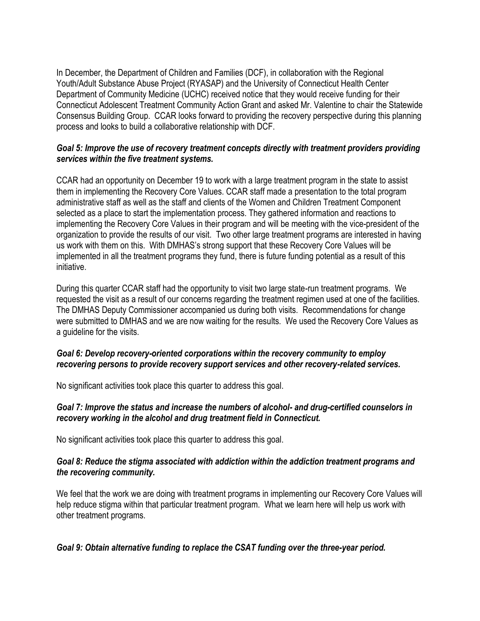In December, the Department of Children and Families (DCF), in collaboration with the Regional Youth/Adult Substance Abuse Project (RYASAP) and the University of Connecticut Health Center Department of Community Medicine (UCHC) received notice that they would receive funding for their Connecticut Adolescent Treatment Community Action Grant and asked Mr. Valentine to chair the Statewide Consensus Building Group. CCAR looks forward to providing the recovery perspective during this planning process and looks to build a collaborative relationship with DCF.

#### *Goal 5: Improve the use of recovery treatment concepts directly with treatment providers providing services within the five treatment systems.*

CCAR had an opportunity on December 19 to work with a large treatment program in the state to assist them in implementing the Recovery Core Values. CCAR staff made a presentation to the total program administrative staff as well as the staff and clients of the Women and Children Treatment Component selected as a place to start the implementation process. They gathered information and reactions to implementing the Recovery Core Values in their program and will be meeting with the vice-president of the organization to provide the results of our visit. Two other large treatment programs are interested in having us work with them on this. With DMHAS's strong support that these Recovery Core Values will be implemented in all the treatment programs they fund, there is future funding potential as a result of this initiative.

During this quarter CCAR staff had the opportunity to visit two large state-run treatment programs. We requested the visit as a result of our concerns regarding the treatment regimen used at one of the facilities. The DMHAS Deputy Commissioner accompanied us during both visits. Recommendations for change were submitted to DMHAS and we are now waiting for the results. We used the Recovery Core Values as a guideline for the visits.

#### *Goal 6: Develop recovery-oriented corporations within the recovery community to employ recovering persons to provide recovery support services and other recovery-related services.*

No significant activities took place this quarter to address this goal.

#### *Goal 7: Improve the status and increase the numbers of alcohol- and drug-certified counselors in recovery working in the alcohol and drug treatment field in Connecticut.*

No significant activities took place this quarter to address this goal.

#### *Goal 8: Reduce the stigma associated with addiction within the addiction treatment programs and the recovering community.*

We feel that the work we are doing with treatment programs in implementing our Recovery Core Values will help reduce stigma within that particular treatment program. What we learn here will help us work with other treatment programs.

## *Goal 9: Obtain alternative funding to replace the CSAT funding over the three-year period.*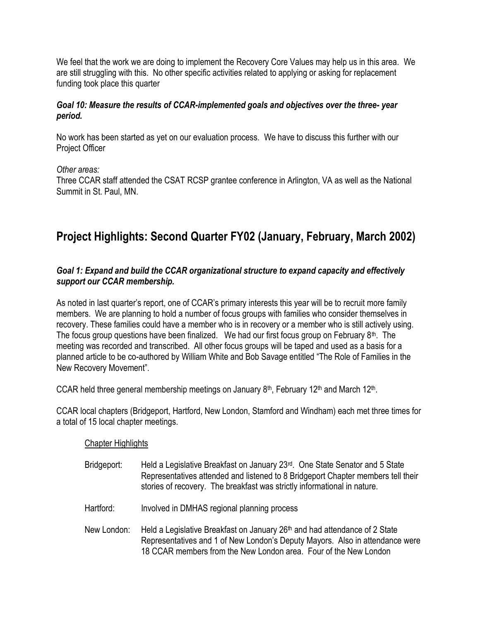We feel that the work we are doing to implement the Recovery Core Values may help us in this area. We are still struggling with this. No other specific activities related to applying or asking for replacement funding took place this quarter

#### *Goal 10: Measure the results of CCAR-implemented goals and objectives over the three- year period.*

No work has been started as yet on our evaluation process. We have to discuss this further with our Project Officer

#### *Other areas:*

Three CCAR staff attended the CSAT RCSP grantee conference in Arlington, VA as well as the National Summit in St. Paul, MN.

# **Project Highlights: Second Quarter FY02 (January, February, March 2002)**

#### *Goal 1: Expand and build the CCAR organizational structure to expand capacity and effectively support our CCAR membership.*

As noted in last quarter's report, one of CCAR's primary interests this year will be to recruit more family members. We are planning to hold a number of focus groups with families who consider themselves in recovery. These families could have a member who is in recovery or a member who is still actively using. The focus group questions have been finalized. We had our first focus group on February  $8<sup>th</sup>$ . The meeting was recorded and transcribed. All other focus groups will be taped and used as a basis for a planned article to be co-authored by William White and Bob Savage entitled "The Role of Families in the New Recovery Movement".

CCAR held three general membership meetings on January 8<sup>th</sup>, February 12<sup>th</sup> and March 12<sup>th</sup>.

CCAR local chapters (Bridgeport, Hartford, New London, Stamford and Windham) each met three times for a total of 15 local chapter meetings.

#### Chapter Highlights

- Bridgeport: Held a Legislative Breakfast on January 23<sup>rd</sup>. One State Senator and 5 State Representatives attended and listened to 8 Bridgeport Chapter members tell their stories of recovery. The breakfast was strictly informational in nature.
- Hartford: Involved in DMHAS regional planning process
- New London: Held a Legislative Breakfast on January  $26<sup>th</sup>$  and had attendance of 2 State Representatives and 1 of New London's Deputy Mayors. Also in attendance were 18 CCAR members from the New London area. Four of the New London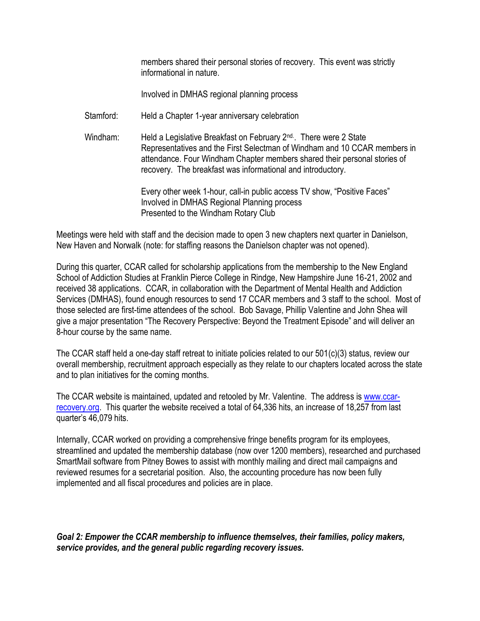members shared their personal stories of recovery. This event was strictly informational in nature.

Involved in DMHAS regional planning process

- Stamford: Held a Chapter 1-year anniversary celebration
- Windham: Held a Legislative Breakfast on February 2<sup>nd</sup>. There were 2 State Representatives and the First Selectman of Windham and 10 CCAR members in attendance. Four Windham Chapter members shared their personal stories of recovery. The breakfast was informational and introductory.

Every other week 1-hour, call-in public access TV show, "Positive Faces" Involved in DMHAS Regional Planning process Presented to the Windham Rotary Club

Meetings were held with staff and the decision made to open 3 new chapters next quarter in Danielson, New Haven and Norwalk (note: for staffing reasons the Danielson chapter was not opened).

During this quarter, CCAR called for scholarship applications from the membership to the New England School of Addiction Studies at Franklin Pierce College in Rindge, New Hampshire June 16-21, 2002 and received 38 applications. CCAR, in collaboration with the Department of Mental Health and Addiction Services (DMHAS), found enough resources to send 17 CCAR members and 3 staff to the school. Most of those selected are first-time attendees of the school. Bob Savage, Phillip Valentine and John Shea will give a major presentation "The Recovery Perspective: Beyond the Treatment Episode" and will deliver an 8-hour course by the same name.

The CCAR staff held a one-day staff retreat to initiate policies related to our 501(c)(3) status, review our overall membership, recruitment approach especially as they relate to our chapters located across the state and to plan initiatives for the coming months.

The CCAR website is maintained, updated and retooled by Mr. Valentine. The address is [www.ccar](http://www.ccar-recovery.org/)[recovery.org.](http://www.ccar-recovery.org/) This quarter the website received a total of 64,336 hits, an increase of 18,257 from last quarter's 46,079 hits.

Internally, CCAR worked on providing a comprehensive fringe benefits program for its employees, streamlined and updated the membership database (now over 1200 members), researched and purchased SmartMail software from Pitney Bowes to assist with monthly mailing and direct mail campaigns and reviewed resumes for a secretarial position. Also, the accounting procedure has now been fully implemented and all fiscal procedures and policies are in place.

*Goal 2: Empower the CCAR membership to influence themselves, their families, policy makers, service provides, and the general public regarding recovery issues.*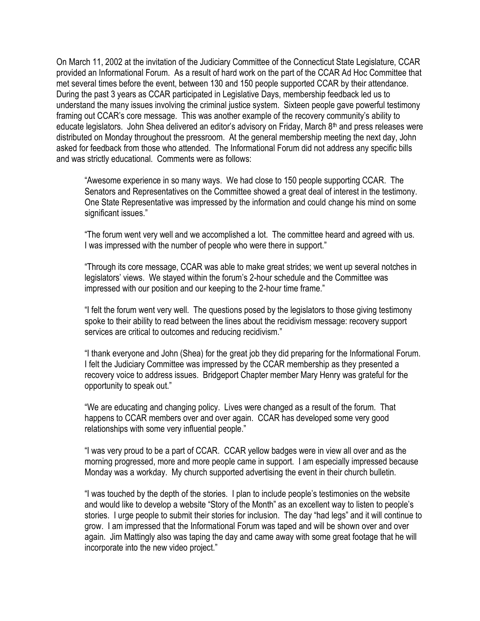On March 11, 2002 at the invitation of the Judiciary Committee of the Connecticut State Legislature, CCAR provided an Informational Forum. As a result of hard work on the part of the CCAR Ad Hoc Committee that met several times before the event, between 130 and 150 people supported CCAR by their attendance. During the past 3 years as CCAR participated in Legislative Days, membership feedback led us to understand the many issues involving the criminal justice system. Sixteen people gave powerful testimony framing out CCAR's core message. This was another example of the recovery community's ability to educate legislators. John Shea delivered an editor's advisory on Friday, March  $8<sup>th</sup>$  and press releases were distributed on Monday throughout the pressroom. At the general membership meeting the next day, John asked for feedback from those who attended. The Informational Forum did not address any specific bills and was strictly educational. Comments were as follows:

"Awesome experience in so many ways. We had close to 150 people supporting CCAR. The Senators and Representatives on the Committee showed a great deal of interest in the testimony. One State Representative was impressed by the information and could change his mind on some significant issues."

"The forum went very well and we accomplished a lot. The committee heard and agreed with us. I was impressed with the number of people who were there in support."

"Through its core message, CCAR was able to make great strides; we went up several notches in legislators' views. We stayed within the forum's 2-hour schedule and the Committee was impressed with our position and our keeping to the 2-hour time frame."

"I felt the forum went very well. The questions posed by the legislators to those giving testimony spoke to their ability to read between the lines about the recidivism message: recovery support services are critical to outcomes and reducing recidivism."

"I thank everyone and John (Shea) for the great job they did preparing for the Informational Forum. I felt the Judiciary Committee was impressed by the CCAR membership as they presented a recovery voice to address issues. Bridgeport Chapter member Mary Henry was grateful for the opportunity to speak out."

"We are educating and changing policy. Lives were changed as a result of the forum. That happens to CCAR members over and over again. CCAR has developed some very good relationships with some very influential people."

"I was very proud to be a part of CCAR. CCAR yellow badges were in view all over and as the morning progressed, more and more people came in support. I am especially impressed because Monday was a workday. My church supported advertising the event in their church bulletin.

"I was touched by the depth of the stories. I plan to include people's testimonies on the website and would like to develop a website "Story of the Month" as an excellent way to listen to people's stories. I urge people to submit their stories for inclusion. The day "had legs" and it will continue to grow. I am impressed that the Informational Forum was taped and will be shown over and over again. Jim Mattingly also was taping the day and came away with some great footage that he will incorporate into the new video project."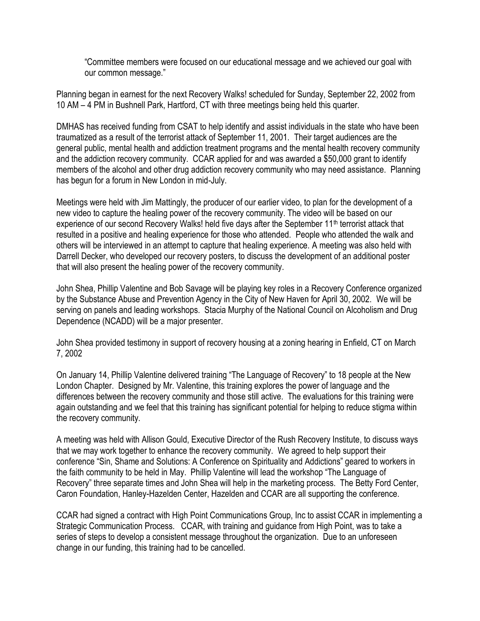"Committee members were focused on our educational message and we achieved our goal with our common message."

Planning began in earnest for the next Recovery Walks! scheduled for Sunday, September 22, 2002 from 10 AM – 4 PM in Bushnell Park, Hartford, CT with three meetings being held this quarter.

DMHAS has received funding from CSAT to help identify and assist individuals in the state who have been traumatized as a result of the terrorist attack of September 11, 2001. Their target audiences are the general public, mental health and addiction treatment programs and the mental health recovery community and the addiction recovery community. CCAR applied for and was awarded a \$50,000 grant to identify members of the alcohol and other drug addiction recovery community who may need assistance. Planning has begun for a forum in New London in mid-July.

Meetings were held with Jim Mattingly, the producer of our earlier video, to plan for the development of a new video to capture the healing power of the recovery community. The video will be based on our experience of our second Recovery Walks! held five days after the September 11<sup>th</sup> terrorist attack that resulted in a positive and healing experience for those who attended. People who attended the walk and others will be interviewed in an attempt to capture that healing experience. A meeting was also held with Darrell Decker, who developed our recovery posters, to discuss the development of an additional poster that will also present the healing power of the recovery community.

John Shea, Phillip Valentine and Bob Savage will be playing key roles in a Recovery Conference organized by the Substance Abuse and Prevention Agency in the City of New Haven for April 30, 2002. We will be serving on panels and leading workshops. Stacia Murphy of the National Council on Alcoholism and Drug Dependence (NCADD) will be a major presenter.

John Shea provided testimony in support of recovery housing at a zoning hearing in Enfield, CT on March 7, 2002

On January 14, Phillip Valentine delivered training "The Language of Recovery" to 18 people at the New London Chapter. Designed by Mr. Valentine, this training explores the power of language and the differences between the recovery community and those still active. The evaluations for this training were again outstanding and we feel that this training has significant potential for helping to reduce stigma within the recovery community.

A meeting was held with Allison Gould, Executive Director of the Rush Recovery Institute, to discuss ways that we may work together to enhance the recovery community. We agreed to help support their conference "Sin, Shame and Solutions: A Conference on Spirituality and Addictions" geared to workers in the faith community to be held in May. Phillip Valentine will lead the workshop "The Language of Recovery" three separate times and John Shea will help in the marketing process. The Betty Ford Center, Caron Foundation, Hanley-Hazelden Center, Hazelden and CCAR are all supporting the conference.

CCAR had signed a contract with High Point Communications Group, Inc to assist CCAR in implementing a Strategic Communication Process. CCAR, with training and guidance from High Point, was to take a series of steps to develop a consistent message throughout the organization. Due to an unforeseen change in our funding, this training had to be cancelled.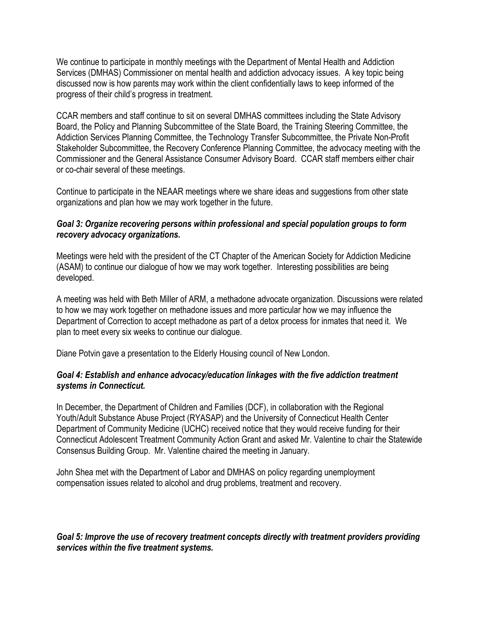We continue to participate in monthly meetings with the Department of Mental Health and Addiction Services (DMHAS) Commissioner on mental health and addiction advocacy issues. A key topic being discussed now is how parents may work within the client confidentially laws to keep informed of the progress of their child's progress in treatment.

CCAR members and staff continue to sit on several DMHAS committees including the State Advisory Board, the Policy and Planning Subcommittee of the State Board, the Training Steering Committee, the Addiction Services Planning Committee, the Technology Transfer Subcommittee, the Private Non-Profit Stakeholder Subcommittee, the Recovery Conference Planning Committee, the advocacy meeting with the Commissioner and the General Assistance Consumer Advisory Board. CCAR staff members either chair or co-chair several of these meetings.

Continue to participate in the NEAAR meetings where we share ideas and suggestions from other state organizations and plan how we may work together in the future.

#### *Goal 3: Organize recovering persons within professional and special population groups to form recovery advocacy organizations.*

Meetings were held with the president of the CT Chapter of the American Society for Addiction Medicine (ASAM) to continue our dialogue of how we may work together. Interesting possibilities are being developed.

A meeting was held with Beth Miller of ARM, a methadone advocate organization. Discussions were related to how we may work together on methadone issues and more particular how we may influence the Department of Correction to accept methadone as part of a detox process for inmates that need it. We plan to meet every six weeks to continue our dialogue.

Diane Potvin gave a presentation to the Elderly Housing council of New London.

#### *Goal 4: Establish and enhance advocacy/education linkages with the five addiction treatment systems in Connecticut.*

In December, the Department of Children and Families (DCF), in collaboration with the Regional Youth/Adult Substance Abuse Project (RYASAP) and the University of Connecticut Health Center Department of Community Medicine (UCHC) received notice that they would receive funding for their Connecticut Adolescent Treatment Community Action Grant and asked Mr. Valentine to chair the Statewide Consensus Building Group. Mr. Valentine chaired the meeting in January.

John Shea met with the Department of Labor and DMHAS on policy regarding unemployment compensation issues related to alcohol and drug problems, treatment and recovery.

#### *Goal 5: Improve the use of recovery treatment concepts directly with treatment providers providing services within the five treatment systems.*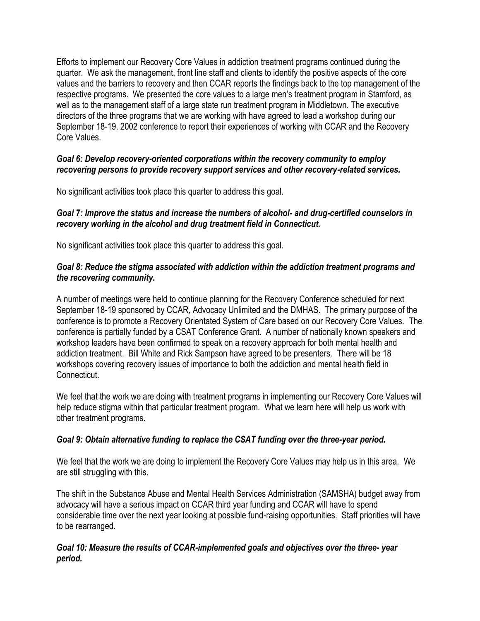Efforts to implement our Recovery Core Values in addiction treatment programs continued during the quarter. We ask the management, front line staff and clients to identify the positive aspects of the core values and the barriers to recovery and then CCAR reports the findings back to the top management of the respective programs. We presented the core values to a large men's treatment program in Stamford, as well as to the management staff of a large state run treatment program in Middletown. The executive directors of the three programs that we are working with have agreed to lead a workshop during our September 18-19, 2002 conference to report their experiences of working with CCAR and the Recovery Core Values.

#### *Goal 6: Develop recovery-oriented corporations within the recovery community to employ recovering persons to provide recovery support services and other recovery-related services.*

No significant activities took place this quarter to address this goal.

#### *Goal 7: Improve the status and increase the numbers of alcohol- and drug-certified counselors in recovery working in the alcohol and drug treatment field in Connecticut.*

No significant activities took place this quarter to address this goal.

#### *Goal 8: Reduce the stigma associated with addiction within the addiction treatment programs and the recovering community.*

A number of meetings were held to continue planning for the Recovery Conference scheduled for next September 18-19 sponsored by CCAR, Advocacy Unlimited and the DMHAS. The primary purpose of the conference is to promote a Recovery Orientated System of Care based on our Recovery Core Values. The conference is partially funded by a CSAT Conference Grant. A number of nationally known speakers and workshop leaders have been confirmed to speak on a recovery approach for both mental health and addiction treatment. Bill White and Rick Sampson have agreed to be presenters. There will be 18 workshops covering recovery issues of importance to both the addiction and mental health field in **Connecticut.** 

We feel that the work we are doing with treatment programs in implementing our Recovery Core Values will help reduce stigma within that particular treatment program. What we learn here will help us work with other treatment programs.

## *Goal 9: Obtain alternative funding to replace the CSAT funding over the three-year period.*

We feel that the work we are doing to implement the Recovery Core Values may help us in this area. We are still struggling with this.

The shift in the Substance Abuse and Mental Health Services Administration (SAMSHA) budget away from advocacy will have a serious impact on CCAR third year funding and CCAR will have to spend considerable time over the next year looking at possible fund-raising opportunities. Staff priorities will have to be rearranged.

#### *Goal 10: Measure the results of CCAR-implemented goals and objectives over the three- year period.*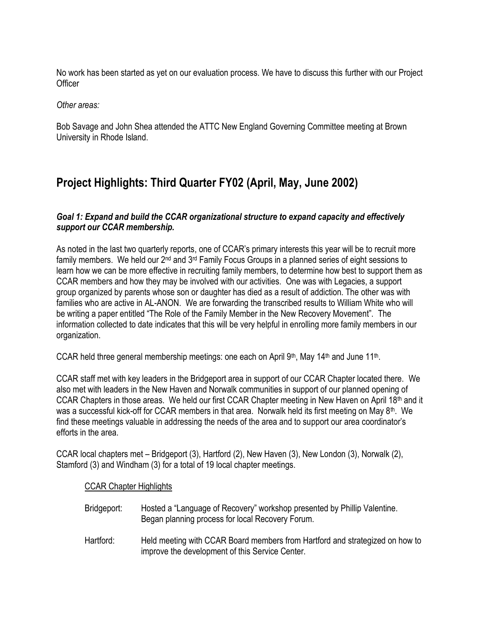No work has been started as yet on our evaluation process. We have to discuss this further with our Project **Officer** 

*Other areas:*

Bob Savage and John Shea attended the ATTC New England Governing Committee meeting at Brown University in Rhode Island.

# **Project Highlights: Third Quarter FY02 (April, May, June 2002)**

#### *Goal 1: Expand and build the CCAR organizational structure to expand capacity and effectively support our CCAR membership.*

As noted in the last two quarterly reports, one of CCAR's primary interests this year will be to recruit more family members. We held our 2<sup>nd</sup> and 3<sup>rd</sup> Family Focus Groups in a planned series of eight sessions to learn how we can be more effective in recruiting family members, to determine how best to support them as CCAR members and how they may be involved with our activities. One was with Legacies, a support group organized by parents whose son or daughter has died as a result of addiction. The other was with families who are active in AL-ANON. We are forwarding the transcribed results to William White who will be writing a paper entitled "The Role of the Family Member in the New Recovery Movement". The information collected to date indicates that this will be very helpful in enrolling more family members in our organization.

CCAR held three general membership meetings: one each on April 9<sup>th</sup>, May 14<sup>th</sup> and June 11<sup>th</sup>.

CCAR staff met with key leaders in the Bridgeport area in support of our CCAR Chapter located there. We also met with leaders in the New Haven and Norwalk communities in support of our planned opening of CCAR Chapters in those areas. We held our first CCAR Chapter meeting in New Haven on April 18th and it was a successful kick-off for CCAR members in that area. Norwalk held its first meeting on May 8<sup>th</sup>. We find these meetings valuable in addressing the needs of the area and to support our area coordinator's efforts in the area.

CCAR local chapters met – Bridgeport (3), Hartford (2), New Haven (3), New London (3), Norwalk (2), Stamford (3) and Windham (3) for a total of 19 local chapter meetings.

#### CCAR Chapter Highlights

- Bridgeport: Hosted a "Language of Recovery" workshop presented by Phillip Valentine. Began planning process for local Recovery Forum.
- Hartford: Held meeting with CCAR Board members from Hartford and strategized on how to improve the development of this Service Center.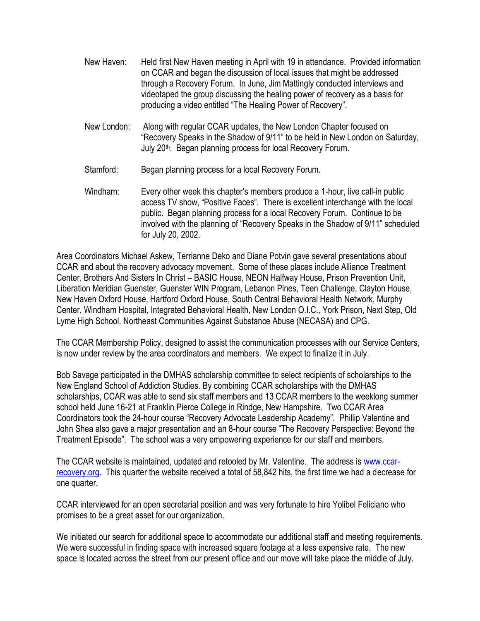- New Haven: Held first New Haven meeting in April with 19 in attendance. Provided information on CCAR and began the discussion of local issues that might be addressed through a Recovery Forum. In June, Jim Mattingly conducted interviews and videotaped the group discussing the healing power of recovery as a basis for producing a video entitled "The Healing Power of Recovery".
- New London: Along with regular CCAR updates, the New London Chapter focused on "Recovery Speaks in the Shadow of 9/11" to be held in New London on Saturday, July 20<sup>th</sup>. Began planning process for local Recovery Forum.
- Stamford: Began planning process for a local Recovery Forum.
- Windham: Every other week this chapter's members produce a 1-hour, live call-in public access TV show, "Positive Faces". There is excellent interchange with the local public**.** Began planning process for a local Recovery Forum. Continue to be involved with the planning of "Recovery Speaks in the Shadow of 9/11" scheduled for July 20, 2002.

Area Coordinators Michael Askew, Terrianne Deko and Diane Potvin gave several presentations about CCAR and about the recovery advocacy movement. Some of these places include Alliance Treatment Center, Brothers And Sisters In Christ – BASIC House, NEON Halfway House, Prison Prevention Unit, Liberation Meridian Guenster, Guenster WIN Program, Lebanon Pines, Teen Challenge, Clayton House, New Haven Oxford House, Hartford Oxford House, South Central Behavioral Health Network, Murphy Center, Windham Hospital, Integrated Behavioral Health, New London O.I.C., York Prison, Next Step, Old Lyme High School, Northeast Communities Against Substance Abuse (NECASA) and CPG.

The CCAR Membership Policy, designed to assist the communication processes with our Service Centers, is now under review by the area coordinators and members. We expect to finalize it in July.

Bob Savage participated in the DMHAS scholarship committee to select recipients of scholarships to the New England School of Addiction Studies. By combining CCAR scholarships with the DMHAS scholarships, CCAR was able to send six staff members and 13 CCAR members to the weeklong summer school held June 16-21 at Franklin Pierce College in Rindge, New Hampshire. Two CCAR Area Coordinators took the 24-hour course "Recovery Advocate Leadership Academy". Phillip Valentine and John Shea also gave a major presentation and an 8-hour course "The Recovery Perspective: Beyond the Treatment Episode". The school was a very empowering experience for our staff and members.

The CCAR website is maintained, updated and retooled by Mr. Valentine. The address is [www.ccar](http://www.ccar-recovery.org/)[recovery.org.](http://www.ccar-recovery.org/) This quarter the website received a total of 58,842 hits, the first time we had a decrease for one quarter.

CCAR interviewed for an open secretarial position and was very fortunate to hire Yolibel Feliciano who promises to be a great asset for our organization.

We initiated our search for additional space to accommodate our additional staff and meeting requirements. We were successful in finding space with increased square footage at a less expensive rate. The new space is located across the street from our present office and our move will take place the middle of July.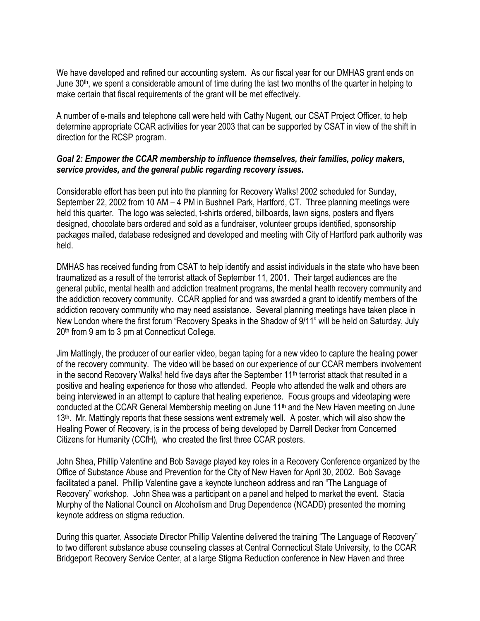We have developed and refined our accounting system. As our fiscal year for our DMHAS grant ends on June  $30<sup>th</sup>$ , we spent a considerable amount of time during the last two months of the quarter in helping to make certain that fiscal requirements of the grant will be met effectively.

A number of e-mails and telephone call were held with Cathy Nugent, our CSAT Project Officer, to help determine appropriate CCAR activities for year 2003 that can be supported by CSAT in view of the shift in direction for the RCSP program.

#### *Goal 2: Empower the CCAR membership to influence themselves, their families, policy makers, service provides, and the general public regarding recovery issues.*

Considerable effort has been put into the planning for Recovery Walks! 2002 scheduled for Sunday, September 22, 2002 from 10 AM – 4 PM in Bushnell Park, Hartford, CT. Three planning meetings were held this quarter. The logo was selected, t-shirts ordered, billboards, lawn signs, posters and flyers designed, chocolate bars ordered and sold as a fundraiser, volunteer groups identified, sponsorship packages mailed, database redesigned and developed and meeting with City of Hartford park authority was held.

DMHAS has received funding from CSAT to help identify and assist individuals in the state who have been traumatized as a result of the terrorist attack of September 11, 2001. Their target audiences are the general public, mental health and addiction treatment programs, the mental health recovery community and the addiction recovery community. CCAR applied for and was awarded a grant to identify members of the addiction recovery community who may need assistance. Several planning meetings have taken place in New London where the first forum "Recovery Speaks in the Shadow of 9/11" will be held on Saturday, July 20th from 9 am to 3 pm at Connecticut College.

Jim Mattingly, the producer of our earlier video, began taping for a new video to capture the healing power of the recovery community. The video will be based on our experience of our CCAR members involvement in the second Recovery Walks! held five days after the September 11<sup>th</sup> terrorist attack that resulted in a positive and healing experience for those who attended. People who attended the walk and others are being interviewed in an attempt to capture that healing experience. Focus groups and videotaping were conducted at the CCAR General Membership meeting on June 11th and the New Haven meeting on June 13<sup>th</sup>. Mr. Mattingly reports that these sessions went extremely well. A poster, which will also show the Healing Power of Recovery, is in the process of being developed by Darrell Decker from Concerned Citizens for Humanity (CCfH), who created the first three CCAR posters.

John Shea, Phillip Valentine and Bob Savage played key roles in a Recovery Conference organized by the Office of Substance Abuse and Prevention for the City of New Haven for April 30, 2002. Bob Savage facilitated a panel. Phillip Valentine gave a keynote luncheon address and ran "The Language of Recovery" workshop. John Shea was a participant on a panel and helped to market the event. Stacia Murphy of the National Council on Alcoholism and Drug Dependence (NCADD) presented the morning keynote address on stigma reduction.

During this quarter, Associate Director Phillip Valentine delivered the training "The Language of Recovery" to two different substance abuse counseling classes at Central Connecticut State University, to the CCAR Bridgeport Recovery Service Center, at a large Stigma Reduction conference in New Haven and three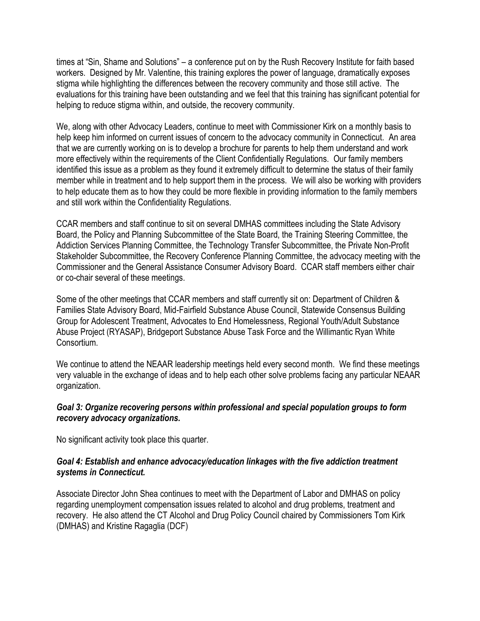times at "Sin, Shame and Solutions" – a conference put on by the Rush Recovery Institute for faith based workers. Designed by Mr. Valentine, this training explores the power of language, dramatically exposes stigma while highlighting the differences between the recovery community and those still active. The evaluations for this training have been outstanding and we feel that this training has significant potential for helping to reduce stigma within, and outside, the recovery community.

We, along with other Advocacy Leaders, continue to meet with Commissioner Kirk on a monthly basis to help keep him informed on current issues of concern to the advocacy community in Connecticut. An area that we are currently working on is to develop a brochure for parents to help them understand and work more effectively within the requirements of the Client Confidentially Regulations. Our family members identified this issue as a problem as they found it extremely difficult to determine the status of their family member while in treatment and to help support them in the process. We will also be working with providers to help educate them as to how they could be more flexible in providing information to the family members and still work within the Confidentiality Regulations.

CCAR members and staff continue to sit on several DMHAS committees including the State Advisory Board, the Policy and Planning Subcommittee of the State Board, the Training Steering Committee, the Addiction Services Planning Committee, the Technology Transfer Subcommittee, the Private Non-Profit Stakeholder Subcommittee, the Recovery Conference Planning Committee, the advocacy meeting with the Commissioner and the General Assistance Consumer Advisory Board. CCAR staff members either chair or co-chair several of these meetings.

Some of the other meetings that CCAR members and staff currently sit on: Department of Children & Families State Advisory Board, Mid-Fairfield Substance Abuse Council, Statewide Consensus Building Group for Adolescent Treatment, Advocates to End Homelessness, Regional Youth/Adult Substance Abuse Project (RYASAP), Bridgeport Substance Abuse Task Force and the Willimantic Ryan White Consortium.

We continue to attend the NEAAR leadership meetings held every second month. We find these meetings very valuable in the exchange of ideas and to help each other solve problems facing any particular NEAAR organization.

#### *Goal 3: Organize recovering persons within professional and special population groups to form recovery advocacy organizations.*

No significant activity took place this quarter.

#### *Goal 4: Establish and enhance advocacy/education linkages with the five addiction treatment systems in Connecticut.*

Associate Director John Shea continues to meet with the Department of Labor and DMHAS on policy regarding unemployment compensation issues related to alcohol and drug problems, treatment and recovery. He also attend the CT Alcohol and Drug Policy Council chaired by Commissioners Tom Kirk (DMHAS) and Kristine Ragaglia (DCF)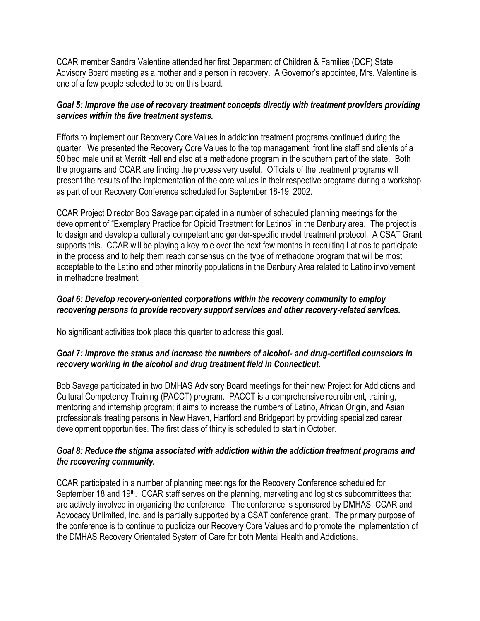CCAR member Sandra Valentine attended her first Department of Children & Families (DCF) State Advisory Board meeting as a mother and a person in recovery. A Governor's appointee, Mrs. Valentine is one of a few people selected to be on this board.

#### *Goal 5: Improve the use of recovery treatment concepts directly with treatment providers providing services within the five treatment systems.*

Efforts to implement our Recovery Core Values in addiction treatment programs continued during the quarter. We presented the Recovery Core Values to the top management, front line staff and clients of a 50 bed male unit at Merritt Hall and also at a methadone program in the southern part of the state. Both the programs and CCAR are finding the process very useful. Officials of the treatment programs will present the results of the implementation of the core values in their respective programs during a workshop as part of our Recovery Conference scheduled for September 18-19, 2002.

CCAR Project Director Bob Savage participated in a number of scheduled planning meetings for the development of "Exemplary Practice for Opioid Treatment for Latinos" in the Danbury area. The project is to design and develop a culturally competent and gender-specific model treatment protocol. A CSAT Grant supports this. CCAR will be playing a key role over the next few months in recruiting Latinos to participate in the process and to help them reach consensus on the type of methadone program that will be most acceptable to the Latino and other minority populations in the Danbury Area related to Latino involvement in methadone treatment.

#### *Goal 6: Develop recovery-oriented corporations within the recovery community to employ recovering persons to provide recovery support services and other recovery-related services.*

No significant activities took place this quarter to address this goal.

#### *Goal 7: Improve the status and increase the numbers of alcohol- and drug-certified counselors in recovery working in the alcohol and drug treatment field in Connecticut.*

Bob Savage participated in two DMHAS Advisory Board meetings for their new Project for Addictions and Cultural Competency Training (PACCT) program. PACCT is a comprehensive recruitment, training, mentoring and internship program; it aims to increase the numbers of Latino, African Origin, and Asian professionals treating persons in New Haven, Hartford and Bridgeport by providing specialized career development opportunities. The first class of thirty is scheduled to start in October.

#### *Goal 8: Reduce the stigma associated with addiction within the addiction treatment programs and the recovering community.*

CCAR participated in a number of planning meetings for the Recovery Conference scheduled for September 18 and 19<sup>th</sup>. CCAR staff serves on the planning, marketing and logistics subcommittees that are actively involved in organizing the conference. The conference is sponsored by DMHAS, CCAR and Advocacy Unlimited, Inc. and is partially supported by a CSAT conference grant. The primary purpose of the conference is to continue to publicize our Recovery Core Values and to promote the implementation of the DMHAS Recovery Orientated System of Care for both Mental Health and Addictions.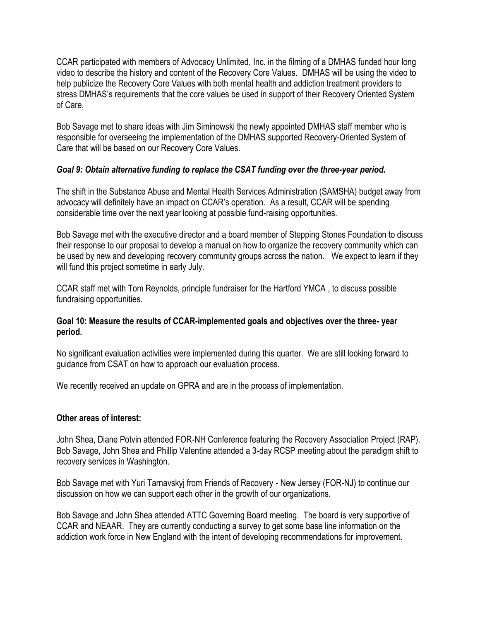CCAR participated with members of Advocacy Unlimited, Inc. in the filming of a DMHAS funded hour long video to describe the history and content of the Recovery Core Values. DMHAS will be using the video to help publicize the Recovery Core Values with both mental health and addiction treatment providers to stress DMHAS's requirements that the core values be used in support of their Recovery Oriented System of Care.

Bob Savage met to share ideas with Jim Siminowski the newly appointed DMHAS staff member who is responsible for overseeing the implementation of the DMHAS supported Recovery-Oriented System of Care that will be based on our Recovery Core Values.

#### *Goal 9: Obtain alternative funding to replace the CSAT funding over the three-year period.*

The shift in the Substance Abuse and Mental Health Services Administration (SAMSHA) budget away from advocacy will definitely have an impact on CCAR's operation. As a result, CCAR will be spending considerable time over the next year looking at possible fund-raising opportunities.

Bob Savage met with the executive director and a board member of Stepping Stones Foundation to discuss their response to our proposal to develop a manual on how to organize the recovery community which can be used by new and developing recovery community groups across the nation. We expect to learn if they will fund this project sometime in early July.

CCAR staff met with Tom Reynolds, principle fundraiser for the Hartford YMCA , to discuss possible fundraising opportunities.

#### **Goal 10: Measure the results of CCAR-implemented goals and objectives over the three- year period.**

No significant evaluation activities were implemented during this quarter. We are still looking forward to guidance from CSAT on how to approach our evaluation process.

We recently received an update on GPRA and are in the process of implementation.

#### **Other areas of interest:**

John Shea, Diane Potvin attended FOR-NH Conference featuring the Recovery Association Project (RAP). Bob Savage, John Shea and Phillip Valentine attended a 3-day RCSP meeting about the paradigm shift to recovery services in Washington.

Bob Savage met with Yuri Tarnavskyj from Friends of Recovery - New Jersey (FOR-NJ) to continue our discussion on how we can support each other in the growth of our organizations.

Bob Savage and John Shea attended ATTC Governing Board meeting. The board is very supportive of CCAR and NEAAR. They are currently conducting a survey to get some base line information on the addiction work force in New England with the intent of developing recommendations for improvement.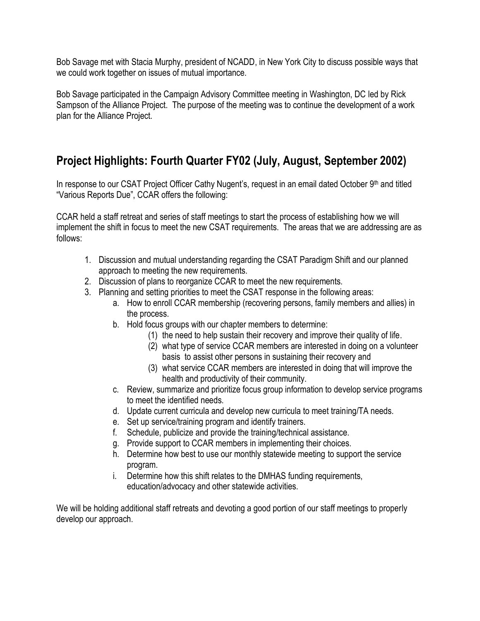Bob Savage met with Stacia Murphy, president of NCADD, in New York City to discuss possible ways that we could work together on issues of mutual importance.

Bob Savage participated in the Campaign Advisory Committee meeting in Washington, DC led by Rick Sampson of the Alliance Project. The purpose of the meeting was to continue the development of a work plan for the Alliance Project.

# **Project Highlights: Fourth Quarter FY02 (July, August, September 2002)**

In response to our CSAT Project Officer Cathy Nugent's, request in an email dated October 9th and titled "Various Reports Due", CCAR offers the following:

CCAR held a staff retreat and series of staff meetings to start the process of establishing how we will implement the shift in focus to meet the new CSAT requirements. The areas that we are addressing are as follows:

- 1. Discussion and mutual understanding regarding the CSAT Paradigm Shift and our planned approach to meeting the new requirements.
- 2. Discussion of plans to reorganize CCAR to meet the new requirements.
- 3. Planning and setting priorities to meet the CSAT response in the following areas:
	- a. How to enroll CCAR membership (recovering persons, family members and allies) in the process.
	- b. Hold focus groups with our chapter members to determine:
		- (1) the need to help sustain their recovery and improve their quality of life.
		- (2) what type of service CCAR members are interested in doing on a volunteer basis to assist other persons in sustaining their recovery and
		- (3) what service CCAR members are interested in doing that will improve the health and productivity of their community.
	- c. Review, summarize and prioritize focus group information to develop service programs to meet the identified needs.
	- d. Update current curricula and develop new curricula to meet training/TA needs.
	- e. Set up service/training program and identify trainers.
	- f. Schedule, publicize and provide the training/technical assistance.
	- g. Provide support to CCAR members in implementing their choices.
	- h. Determine how best to use our monthly statewide meeting to support the service program.
	- i. Determine how this shift relates to the DMHAS funding requirements, education/advocacy and other statewide activities.

We will be holding additional staff retreats and devoting a good portion of our staff meetings to properly develop our approach.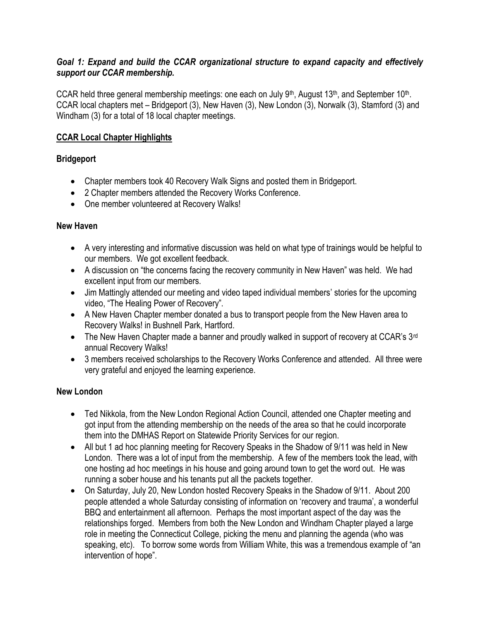#### *Goal 1: Expand and build the CCAR organizational structure to expand capacity and effectively support our CCAR membership.*

CCAR held three general membership meetings: one each on July 9<sup>th</sup>, August 13<sup>th</sup>, and September 10<sup>th</sup>. CCAR local chapters met – Bridgeport (3), New Haven (3), New London (3), Norwalk (3), Stamford (3) and Windham (3) for a total of 18 local chapter meetings.

### **CCAR Local Chapter Highlights**

#### **Bridgeport**

- Chapter members took 40 Recovery Walk Signs and posted them in Bridgeport.
- 2 Chapter members attended the Recovery Works Conference.
- One member volunteered at Recovery Walks!

#### **New Haven**

- A very interesting and informative discussion was held on what type of trainings would be helpful to our members. We got excellent feedback.
- A discussion on "the concerns facing the recovery community in New Haven" was held. We had excellent input from our members.
- Jim Mattingly attended our meeting and video taped individual members' stories for the upcoming video, "The Healing Power of Recovery".
- A New Haven Chapter member donated a bus to transport people from the New Haven area to Recovery Walks! in Bushnell Park, Hartford.
- The New Haven Chapter made a banner and proudly walked in support of recovery at CCAR's 3<sup>rd</sup> annual Recovery Walks!
- 3 members received scholarships to the Recovery Works Conference and attended. All three were very grateful and enjoyed the learning experience.

## **New London**

- Ted Nikkola, from the New London Regional Action Council, attended one Chapter meeting and got input from the attending membership on the needs of the area so that he could incorporate them into the DMHAS Report on Statewide Priority Services for our region.
- All but 1 ad hoc planning meeting for Recovery Speaks in the Shadow of 9/11 was held in New London. There was a lot of input from the membership. A few of the members took the lead, with one hosting ad hoc meetings in his house and going around town to get the word out. He was running a sober house and his tenants put all the packets together.
- On Saturday, July 20, New London hosted Recovery Speaks in the Shadow of 9/11. About 200 people attended a whole Saturday consisting of information on 'recovery and trauma', a wonderful BBQ and entertainment all afternoon. Perhaps the most important aspect of the day was the relationships forged. Members from both the New London and Windham Chapter played a large role in meeting the Connecticut College, picking the menu and planning the agenda (who was speaking, etc). To borrow some words from William White, this was a tremendous example of "an intervention of hope".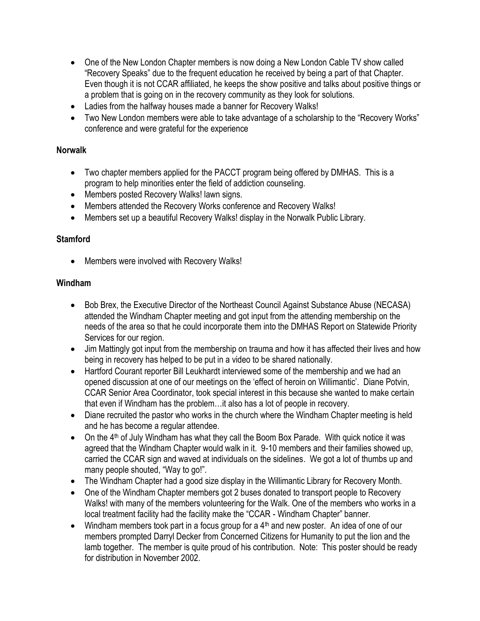- One of the New London Chapter members is now doing a New London Cable TV show called "Recovery Speaks" due to the frequent education he received by being a part of that Chapter. Even though it is not CCAR affiliated, he keeps the show positive and talks about positive things or a problem that is going on in the recovery community as they look for solutions.
- Ladies from the halfway houses made a banner for Recovery Walks!
- Two New London members were able to take advantage of a scholarship to the "Recovery Works" conference and were grateful for the experience

#### **Norwalk**

- Two chapter members applied for the PACCT program being offered by DMHAS. This is a program to help minorities enter the field of addiction counseling.
- Members posted Recovery Walks! lawn signs.
- Members attended the Recovery Works conference and Recovery Walks!
- Members set up a beautiful Recovery Walks! display in the Norwalk Public Library.

#### **Stamford**

• Members were involved with Recovery Walks!

#### **Windham**

- Bob Brex, the Executive Director of the Northeast Council Against Substance Abuse (NECASA) attended the Windham Chapter meeting and got input from the attending membership on the needs of the area so that he could incorporate them into the DMHAS Report on Statewide Priority Services for our region.
- Jim Mattingly got input from the membership on trauma and how it has affected their lives and how being in recovery has helped to be put in a video to be shared nationally.
- Hartford Courant reporter Bill Leukhardt interviewed some of the membership and we had an opened discussion at one of our meetings on the 'effect of heroin on Willimantic'. Diane Potvin, CCAR Senior Area Coordinator, took special interest in this because she wanted to make certain that even if Windham has the problem…it also has a lot of people in recovery.
- Diane recruited the pastor who works in the church where the Windham Chapter meeting is held and he has become a regular attendee.
- $\bullet$  On the 4<sup>th</sup> of July Windham has what they call the Boom Box Parade. With quick notice it was agreed that the Windham Chapter would walk in it. 9-10 members and their families showed up, carried the CCAR sign and waved at individuals on the sidelines. We got a lot of thumbs up and many people shouted, "Way to go!".
- The Windham Chapter had a good size display in the Willimantic Library for Recovery Month.
- One of the Windham Chapter members got 2 buses donated to transport people to Recovery Walks! with many of the members volunteering for the Walk. One of the members who works in a local treatment facility had the facility make the "CCAR - Windham Chapter" banner.
- $\bullet$  Windham members took part in a focus group for a 4<sup>th</sup> and new poster. An idea of one of our members prompted Darryl Decker from Concerned Citizens for Humanity to put the lion and the lamb together. The member is quite proud of his contribution. Note: This poster should be ready for distribution in November 2002.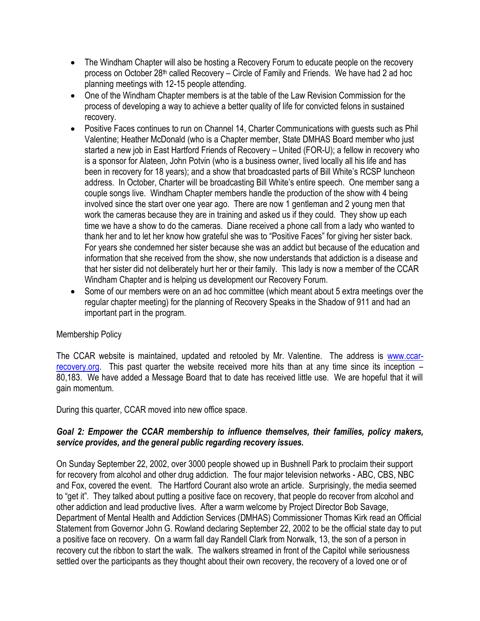- The Windham Chapter will also be hosting a Recovery Forum to educate people on the recovery process on October 28<sup>th</sup> called Recovery – Circle of Family and Friends. We have had 2 ad hoc planning meetings with 12-15 people attending.
- One of the Windham Chapter members is at the table of the Law Revision Commission for the process of developing a way to achieve a better quality of life for convicted felons in sustained recovery.
- Positive Faces continues to run on Channel 14, Charter Communications with guests such as Phil Valentine; Heather McDonald (who is a Chapter member, State DMHAS Board member who just started a new job in East Hartford Friends of Recovery – United (FOR-U); a fellow in recovery who is a sponsor for Alateen, John Potvin (who is a business owner, lived locally all his life and has been in recovery for 18 years); and a show that broadcasted parts of Bill White's RCSP luncheon address. In October, Charter will be broadcasting Bill White's entire speech. One member sang a couple songs live. Windham Chapter members handle the production of the show with 4 being involved since the start over one year ago. There are now 1 gentleman and 2 young men that work the cameras because they are in training and asked us if they could. They show up each time we have a show to do the cameras. Diane received a phone call from a lady who wanted to thank her and to let her know how grateful she was to "Positive Faces" for giving her sister back. For years she condemned her sister because she was an addict but because of the education and information that she received from the show, she now understands that addiction is a disease and that her sister did not deliberately hurt her or their family. This lady is now a member of the CCAR Windham Chapter and is helping us development our Recovery Forum.
- Some of our members were on an ad hoc committee (which meant about 5 extra meetings over the regular chapter meeting) for the planning of Recovery Speaks in the Shadow of 911 and had an important part in the program.

#### Membership Policy

The CCAR website is maintained, updated and retooled by Mr. Valentine. The address is [www.ccar](http://www.ccar-recovery.org/)[recovery.org.](http://www.ccar-recovery.org/) This past quarter the website received more hits than at any time since its inception – 80,183. We have added a Message Board that to date has received little use. We are hopeful that it will gain momentum.

During this quarter, CCAR moved into new office space.

#### *Goal 2: Empower the CCAR membership to influence themselves, their families, policy makers, service provides, and the general public regarding recovery issues.*

On Sunday September 22, 2002, over 3000 people showed up in Bushnell Park to proclaim their support for recovery from alcohol and other drug addiction. The four major television networks - ABC, CBS, NBC and Fox, covered the event. The Hartford Courant also wrote an article. Surprisingly, the media seemed to "get it". They talked about putting a positive face on recovery, that people do recover from alcohol and other addiction and lead productive lives. After a warm welcome by Project Director Bob Savage, Department of Mental Health and Addiction Services (DMHAS) Commissioner Thomas Kirk read an Official Statement from Governor John G. Rowland declaring September 22, 2002 to be the official state day to put a positive face on recovery. On a warm fall day Randell Clark from Norwalk, 13, the son of a person in recovery cut the ribbon to start the walk. The walkers streamed in front of the Capitol while seriousness settled over the participants as they thought about their own recovery, the recovery of a loved one or of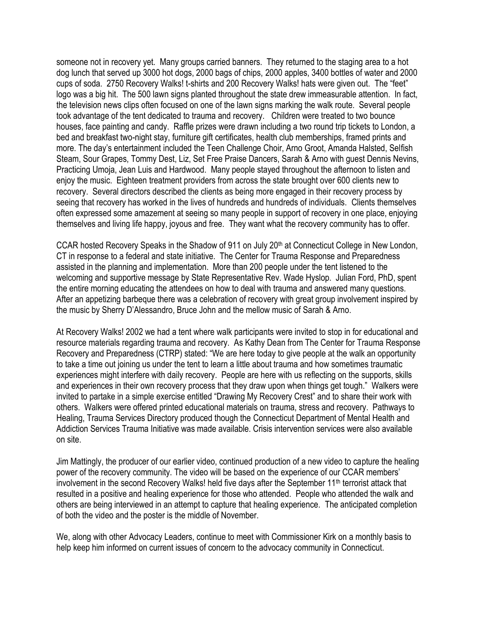someone not in recovery yet. Many groups carried banners. They returned to the staging area to a hot dog lunch that served up 3000 hot dogs, 2000 bags of chips, 2000 apples, 3400 bottles of water and 2000 cups of soda. 2750 Recovery Walks! t-shirts and 200 Recovery Walks! hats were given out. The "feet" logo was a big hit. The 500 lawn signs planted throughout the state drew immeasurable attention. In fact, the television news clips often focused on one of the lawn signs marking the walk route. Several people took advantage of the tent dedicated to trauma and recovery. Children were treated to two bounce houses, face painting and candy. Raffle prizes were drawn including a two round trip tickets to London, a bed and breakfast two-night stay, furniture gift certificates, health club memberships, framed prints and more. The day's entertainment included the Teen Challenge Choir, Arno Groot, Amanda Halsted, Selfish Steam, Sour Grapes, Tommy Dest, Liz, Set Free Praise Dancers, Sarah & Arno with guest Dennis Nevins, Practicing Umoja, Jean Luis and Hardwood. Many people stayed throughout the afternoon to listen and enjoy the music. Eighteen treatment providers from across the state brought over 600 clients new to recovery. Several directors described the clients as being more engaged in their recovery process by seeing that recovery has worked in the lives of hundreds and hundreds of individuals. Clients themselves often expressed some amazement at seeing so many people in support of recovery in one place, enjoying themselves and living life happy, joyous and free. They want what the recovery community has to offer.

CCAR hosted Recovery Speaks in the Shadow of 911 on July 20<sup>th</sup> at Connecticut College in New London, CT in response to a federal and state initiative. The Center for Trauma Response and Preparedness assisted in the planning and implementation. More than 200 people under the tent listened to the welcoming and supportive message by State Representative Rev. Wade Hyslop. Julian Ford, PhD, spent the entire morning educating the attendees on how to deal with trauma and answered many questions. After an appetizing barbeque there was a celebration of recovery with great group involvement inspired by the music by Sherry D'Alessandro, Bruce John and the mellow music of Sarah & Arno.

At Recovery Walks! 2002 we had a tent where walk participants were invited to stop in for educational and resource materials regarding trauma and recovery. As Kathy Dean from The Center for Trauma Response Recovery and Preparedness (CTRP) stated: "We are here today to give people at the walk an opportunity to take a time out joining us under the tent to learn a little about trauma and how sometimes traumatic experiences might interfere with daily recovery. People are here with us reflecting on the supports, skills and experiences in their own recovery process that they draw upon when things get tough." Walkers were invited to partake in a simple exercise entitled "Drawing My Recovery Crest" and to share their work with others. Walkers were offered printed educational materials on trauma, stress and recovery. Pathways to Healing, Trauma Services Directory produced though the Connecticut Department of Mental Health and Addiction Services Trauma Initiative was made available. Crisis intervention services were also available on site.

Jim Mattingly, the producer of our earlier video, continued production of a new video to capture the healing power of the recovery community. The video will be based on the experience of our CCAR members' involvement in the second Recovery Walks! held five days after the September 11<sup>th</sup> terrorist attack that resulted in a positive and healing experience for those who attended. People who attended the walk and others are being interviewed in an attempt to capture that healing experience. The anticipated completion of both the video and the poster is the middle of November.

We, along with other Advocacy Leaders, continue to meet with Commissioner Kirk on a monthly basis to help keep him informed on current issues of concern to the advocacy community in Connecticut.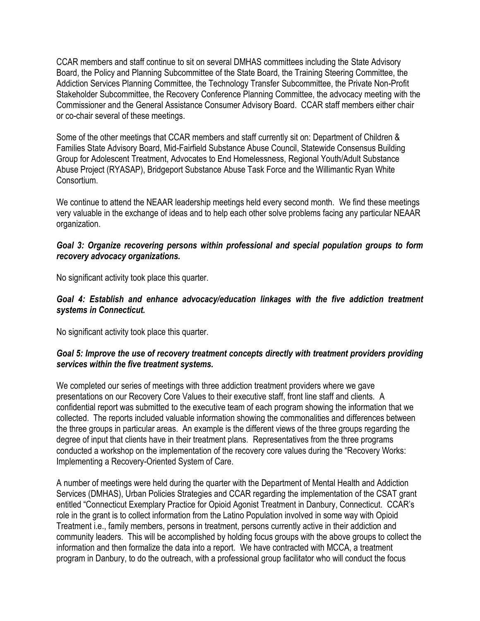CCAR members and staff continue to sit on several DMHAS committees including the State Advisory Board, the Policy and Planning Subcommittee of the State Board, the Training Steering Committee, the Addiction Services Planning Committee, the Technology Transfer Subcommittee, the Private Non-Profit Stakeholder Subcommittee, the Recovery Conference Planning Committee, the advocacy meeting with the Commissioner and the General Assistance Consumer Advisory Board. CCAR staff members either chair or co-chair several of these meetings.

Some of the other meetings that CCAR members and staff currently sit on: Department of Children & Families State Advisory Board, Mid-Fairfield Substance Abuse Council, Statewide Consensus Building Group for Adolescent Treatment, Advocates to End Homelessness, Regional Youth/Adult Substance Abuse Project (RYASAP), Bridgeport Substance Abuse Task Force and the Willimantic Ryan White Consortium.

We continue to attend the NEAAR leadership meetings held every second month. We find these meetings very valuable in the exchange of ideas and to help each other solve problems facing any particular NEAAR organization.

#### *Goal 3: Organize recovering persons within professional and special population groups to form recovery advocacy organizations.*

No significant activity took place this quarter.

#### *Goal 4: Establish and enhance advocacy/education linkages with the five addiction treatment systems in Connecticut.*

No significant activity took place this quarter.

#### *Goal 5: Improve the use of recovery treatment concepts directly with treatment providers providing services within the five treatment systems.*

We completed our series of meetings with three addiction treatment providers where we gave presentations on our Recovery Core Values to their executive staff, front line staff and clients. A confidential report was submitted to the executive team of each program showing the information that we collected. The reports included valuable information showing the commonalities and differences between the three groups in particular areas. An example is the different views of the three groups regarding the degree of input that clients have in their treatment plans. Representatives from the three programs conducted a workshop on the implementation of the recovery core values during the "Recovery Works: Implementing a Recovery-Oriented System of Care.

A number of meetings were held during the quarter with the Department of Mental Health and Addiction Services (DMHAS), Urban Policies Strategies and CCAR regarding the implementation of the CSAT grant entitled "Connecticut Exemplary Practice for Opioid Agonist Treatment in Danbury, Connecticut. CCAR's role in the grant is to collect information from the Latino Population involved in some way with Opioid Treatment i.e., family members, persons in treatment, persons currently active in their addiction and community leaders. This will be accomplished by holding focus groups with the above groups to collect the information and then formalize the data into a report. We have contracted with MCCA, a treatment program in Danbury, to do the outreach, with a professional group facilitator who will conduct the focus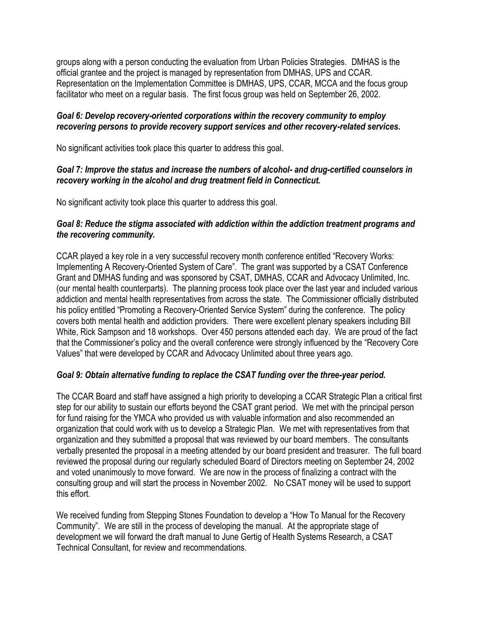groups along with a person conducting the evaluation from Urban Policies Strategies. DMHAS is the official grantee and the project is managed by representation from DMHAS, UPS and CCAR. Representation on the Implementation Committee is DMHAS, UPS, CCAR, MCCA and the focus group facilitator who meet on a regular basis. The first focus group was held on September 26, 2002.

#### *Goal 6: Develop recovery-oriented corporations within the recovery community to employ recovering persons to provide recovery support services and other recovery-related services.*

No significant activities took place this quarter to address this goal.

#### *Goal 7: Improve the status and increase the numbers of alcohol- and drug-certified counselors in recovery working in the alcohol and drug treatment field in Connecticut.*

No significant activity took place this quarter to address this goal.

#### *Goal 8: Reduce the stigma associated with addiction within the addiction treatment programs and the recovering community.*

CCAR played a key role in a very successful recovery month conference entitled "Recovery Works: Implementing A Recovery-Oriented System of Care". The grant was supported by a CSAT Conference Grant and DMHAS funding and was sponsored by CSAT, DMHAS, CCAR and Advocacy Unlimited, Inc. (our mental health counterparts). The planning process took place over the last year and included various addiction and mental health representatives from across the state. The Commissioner officially distributed his policy entitled "Promoting a Recovery-Oriented Service System" during the conference. The policy covers both mental health and addiction providers. There were excellent plenary speakers including Bill White, Rick Sampson and 18 workshops. Over 450 persons attended each day. We are proud of the fact that the Commissioner's policy and the overall conference were strongly influenced by the "Recovery Core Values" that were developed by CCAR and Advocacy Unlimited about three years ago.

## *Goal 9: Obtain alternative funding to replace the CSAT funding over the three-year period.*

The CCAR Board and staff have assigned a high priority to developing a CCAR Strategic Plan a critical first step for our ability to sustain our efforts beyond the CSAT grant period. We met with the principal person for fund raising for the YMCA who provided us with valuable information and also recommended an organization that could work with us to develop a Strategic Plan. We met with representatives from that organization and they submitted a proposal that was reviewed by our board members. The consultants verbally presented the proposal in a meeting attended by our board president and treasurer. The full board reviewed the proposal during our regularly scheduled Board of Directors meeting on September 24, 2002 and voted unanimously to move forward. We are now in the process of finalizing a contract with the consulting group and will start the process in November 2002. No CSAT money will be used to support this effort.

We received funding from Stepping Stones Foundation to develop a "How To Manual for the Recovery Community". We are still in the process of developing the manual. At the appropriate stage of development we will forward the draft manual to June Gertig of Health Systems Research, a CSAT Technical Consultant, for review and recommendations.